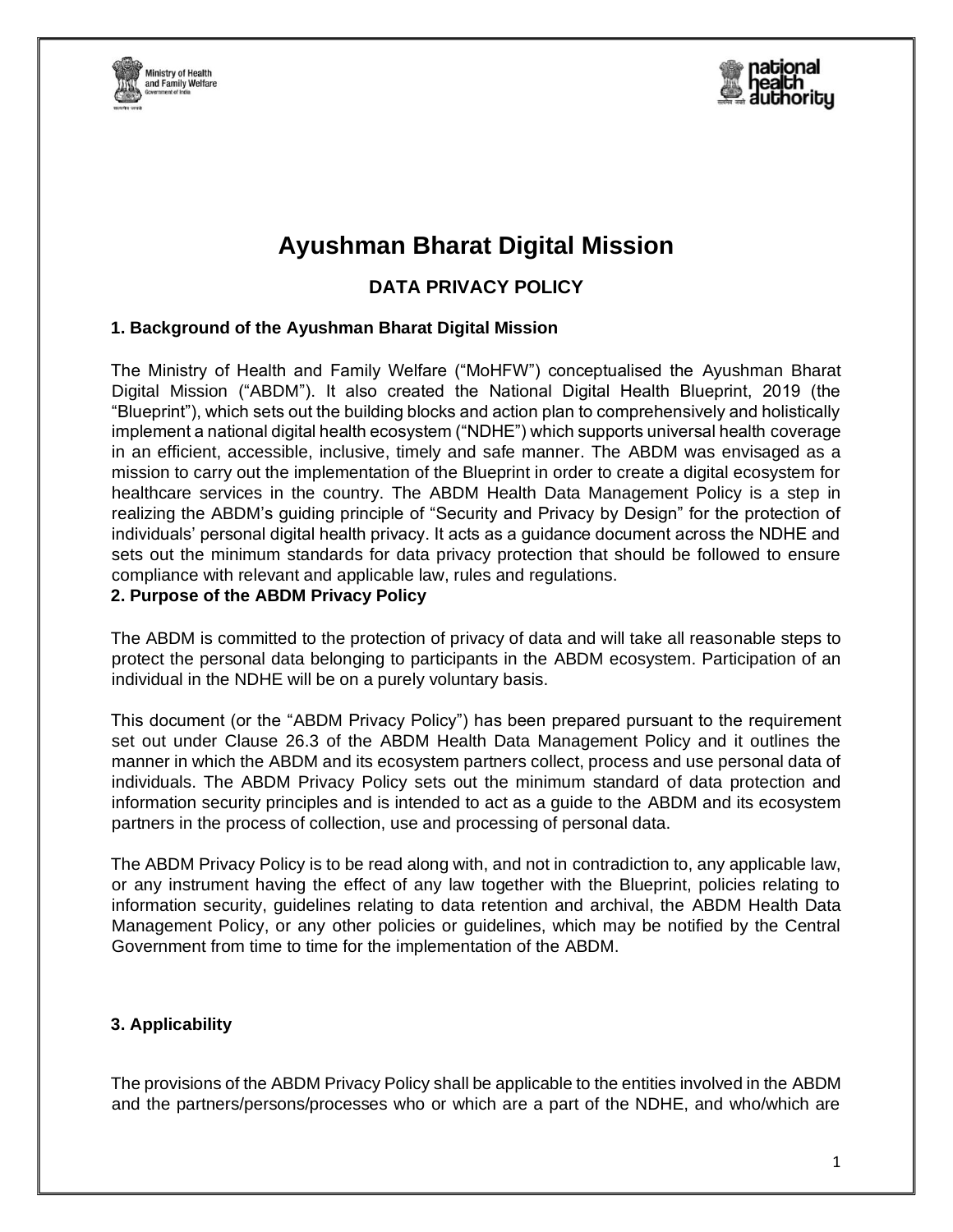



# **Ayushman Bharat Digital Mission**

## **DATA PRIVACY POLICY**

## **1. Background of the Ayushman Bharat Digital Mission**

The Ministry of Health and Family Welfare ("MoHFW") conceptualised the Ayushman Bharat Digital Mission ("ABDM"). It also created the National Digital Health Blueprint, 2019 (the "Blueprint"), which sets out the building blocks and action plan to comprehensively and holistically implement a national digital health ecosystem ("NDHE") which supports universal health coverage in an efficient, accessible, inclusive, timely and safe manner. The ABDM was envisaged as a mission to carry out the implementation of the Blueprint in order to create a digital ecosystem for healthcare services in the country. The ABDM Health Data Management Policy is a step in realizing the ABDM's guiding principle of "Security and Privacy by Design" for the protection of individuals' personal digital health privacy. It acts as a guidance document across the NDHE and sets out the minimum standards for data privacy protection that should be followed to ensure compliance with relevant and applicable law, rules and regulations.

#### **2. Purpose of the ABDM Privacy Policy**

The ABDM is committed to the protection of privacy of data and will take all reasonable steps to protect the personal data belonging to participants in the ABDM ecosystem. Participation of an individual in the NDHE will be on a purely voluntary basis.

This document (or the "ABDM Privacy Policy") has been prepared pursuant to the requirement set out under Clause 26.3 of the ABDM Health Data Management Policy and it outlines the manner in which the ABDM and its ecosystem partners collect, process and use personal data of individuals. The ABDM Privacy Policy sets out the minimum standard of data protection and information security principles and is intended to act as a guide to the ABDM and its ecosystem partners in the process of collection, use and processing of personal data.

The ABDM Privacy Policy is to be read along with, and not in contradiction to, any applicable law, or any instrument having the effect of any law together with the Blueprint, policies relating to information security, guidelines relating to data retention and archival, the ABDM Health Data Management Policy, or any other policies or guidelines, which may be notified by the Central Government from time to time for the implementation of the ABDM.

## **3. Applicability**

The provisions of the ABDM Privacy Policy shall be applicable to the entities involved in the ABDM and the partners/persons/processes who or which are a part of the NDHE, and who/which are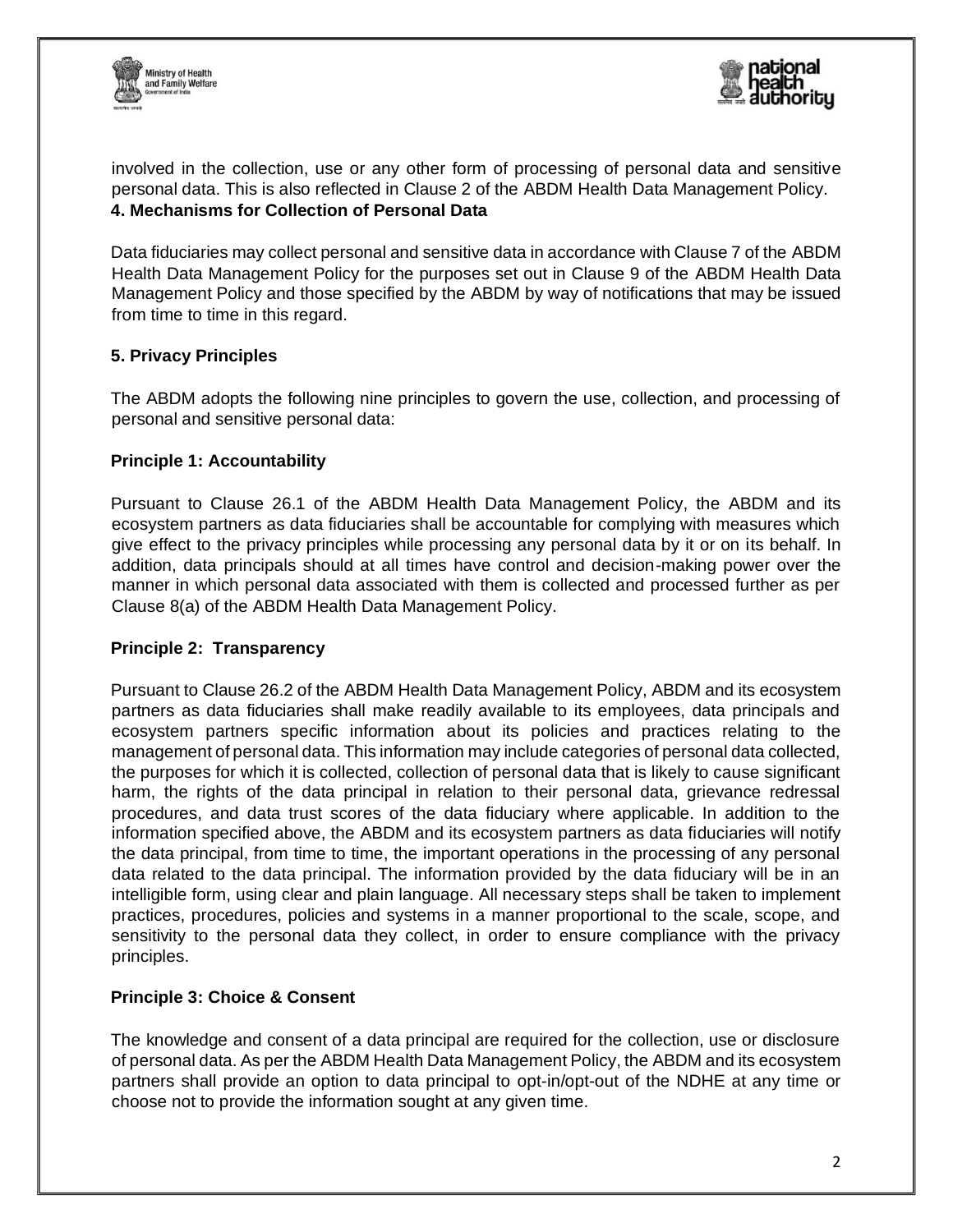



involved in the collection, use or any other form of processing of personal data and sensitive personal data. This is also reflected in Clause 2 of the ABDM Health Data Management Policy. **4. Mechanisms for Collection of Personal Data** 

Data fiduciaries may collect personal and sensitive data in accordance with Clause 7 of the ABDM Health Data Management Policy for the purposes set out in Clause 9 of the ABDM Health Data Management Policy and those specified by the ABDM by way of notifications that may be issued from time to time in this regard.

## **5. Privacy Principles**

The ABDM adopts the following nine principles to govern the use, collection, and processing of personal and sensitive personal data:

## **Principle 1: Accountability**

Pursuant to Clause 26.1 of the ABDM Health Data Management Policy, the ABDM and its ecosystem partners as data fiduciaries shall be accountable for complying with measures which give effect to the privacy principles while processing any personal data by it or on its behalf. In addition, data principals should at all times have control and decision-making power over the manner in which personal data associated with them is collected and processed further as per Clause 8(a) of the ABDM Health Data Management Policy.

## **Principle 2: Transparency**

Pursuant to Clause 26.2 of the ABDM Health Data Management Policy, ABDM and its ecosystem partners as data fiduciaries shall make readily available to its employees, data principals and ecosystem partners specific information about its policies and practices relating to the management of personal data. This information may include categories of personal data collected, the purposes for which it is collected, collection of personal data that is likely to cause significant harm, the rights of the data principal in relation to their personal data, grievance redressal procedures, and data trust scores of the data fiduciary where applicable. In addition to the information specified above, the ABDM and its ecosystem partners as data fiduciaries will notify the data principal, from time to time, the important operations in the processing of any personal data related to the data principal. The information provided by the data fiduciary will be in an intelligible form, using clear and plain language. All necessary steps shall be taken to implement practices, procedures, policies and systems in a manner proportional to the scale, scope, and sensitivity to the personal data they collect, in order to ensure compliance with the privacy principles.

## **Principle 3: Choice & Consent**

The knowledge and consent of a data principal are required for the collection, use or disclosure of personal data. As per the ABDM Health Data Management Policy, the ABDM and its ecosystem partners shall provide an option to data principal to opt-in/opt-out of the NDHE at any time or choose not to provide the information sought at any given time.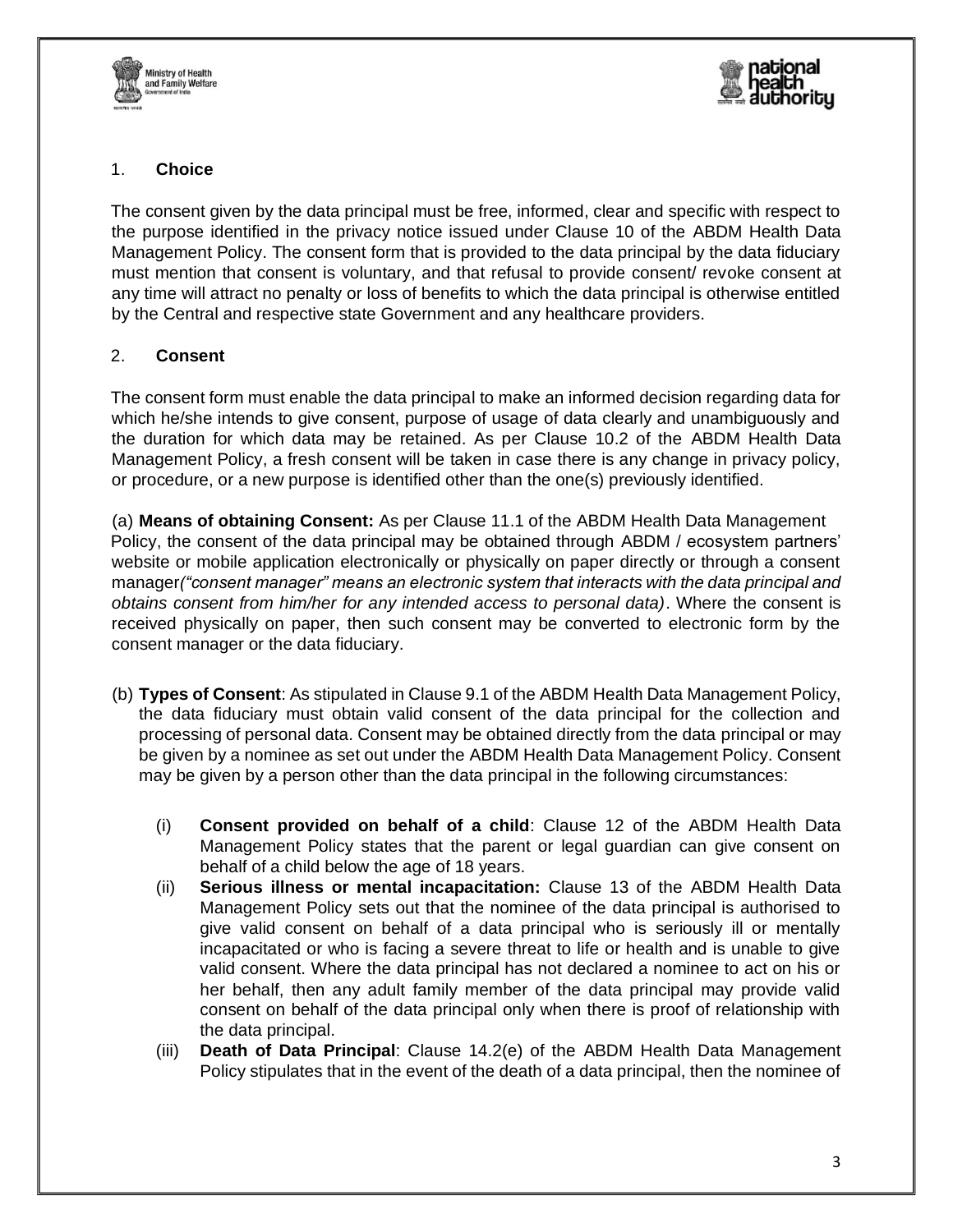



## 1. **Choice**

The consent given by the data principal must be free, informed, clear and specific with respect to the purpose identified in the privacy notice issued under Clause 10 of the ABDM Health Data Management Policy. The consent form that is provided to the data principal by the data fiduciary must mention that consent is voluntary, and that refusal to provide consent/ revoke consent at any time will attract no penalty or loss of benefits to which the data principal is otherwise entitled by the Central and respective state Government and any healthcare providers.

## 2. **Consent**

The consent form must enable the data principal to make an informed decision regarding data for which he/she intends to give consent, purpose of usage of data clearly and unambiguously and the duration for which data may be retained. As per Clause 10.2 of the ABDM Health Data Management Policy, a fresh consent will be taken in case there is any change in privacy policy, or procedure, or a new purpose is identified other than the one(s) previously identified.

(a) **Means of obtaining Consent:** As per Clause 11.1 of the ABDM Health Data Management Policy, the consent of the data principal may be obtained through ABDM / ecosystem partners' website or mobile application electronically or physically on paper directly or through a consent manager*("consent manager" means an electronic system that interacts with the data principal and obtains consent from him/her for any intended access to personal data)*. Where the consent is received physically on paper, then such consent may be converted to electronic form by the consent manager or the data fiduciary.

- (b) **Types of Consent**: As stipulated in Clause 9.1 of the ABDM Health Data Management Policy, the data fiduciary must obtain valid consent of the data principal for the collection and processing of personal data. Consent may be obtained directly from the data principal or may be given by a nominee as set out under the ABDM Health Data Management Policy. Consent may be given by a person other than the data principal in the following circumstances:
	- (i) **Consent provided on behalf of a child**: Clause 12 of the ABDM Health Data Management Policy states that the parent or legal guardian can give consent on behalf of a child below the age of 18 years.
	- (ii) **Serious illness or mental incapacitation:** Clause 13 of the ABDM Health Data Management Policy sets out that the nominee of the data principal is authorised to give valid consent on behalf of a data principal who is seriously ill or mentally incapacitated or who is facing a severe threat to life or health and is unable to give valid consent. Where the data principal has not declared a nominee to act on his or her behalf, then any adult family member of the data principal may provide valid consent on behalf of the data principal only when there is proof of relationship with the data principal.
	- (iii) **Death of Data Principal**: Clause 14.2(e) of the ABDM Health Data Management Policy stipulates that in the event of the death of a data principal, then the nominee of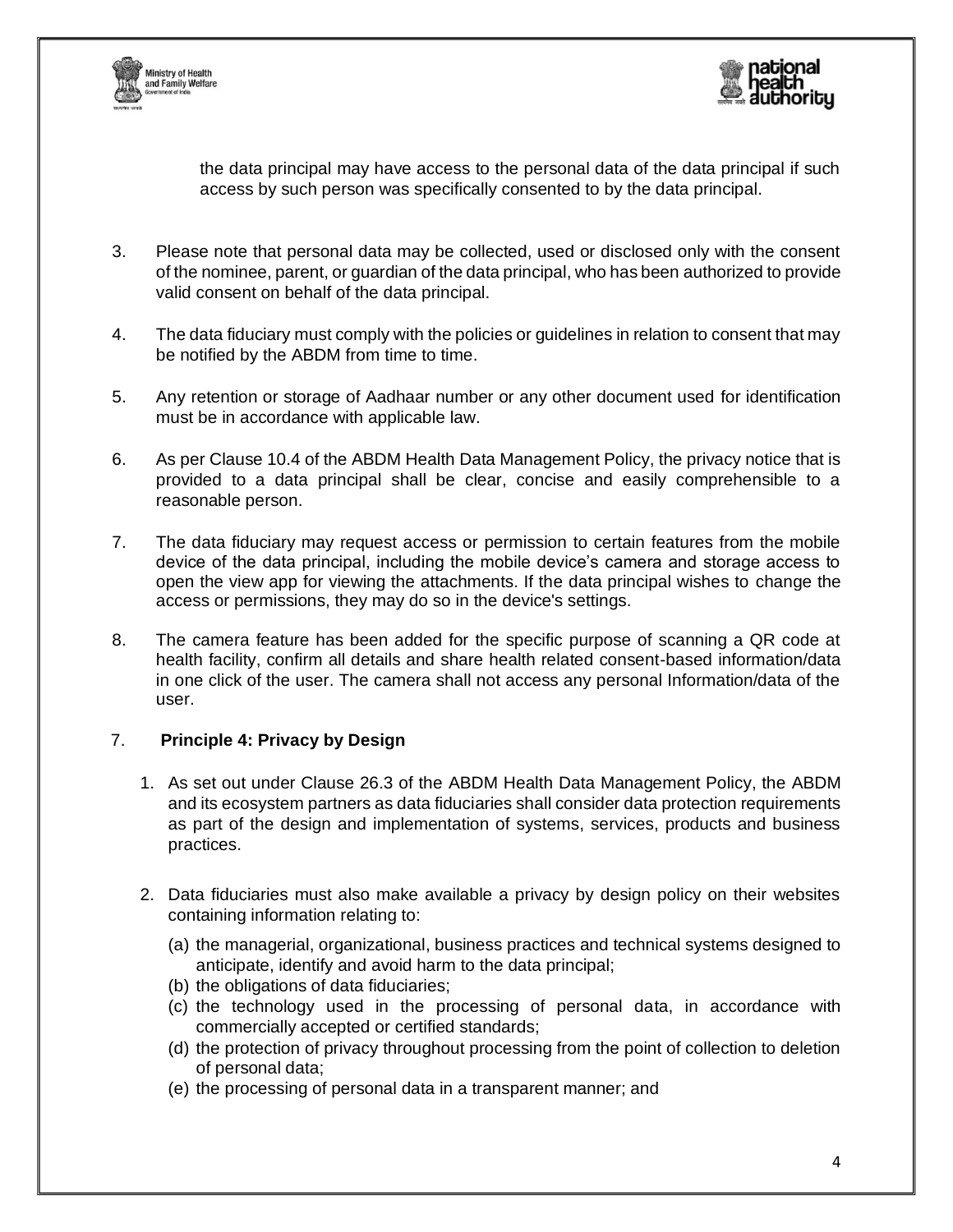



the data principal may have access to the personal data of the data principal if such access by such person was specifically consented to by the data principal.

- 3. Please note that personal data may be collected, used or disclosed only with the consent of the nominee, parent, or guardian of the data principal, who has been authorized to provide valid consent on behalf of the data principal.
- 4. The data fiduciary must comply with the policies or guidelines in relation to consent that may be notified by the ABDM from time to time.
- 5. Any retention or storage of Aadhaar number or any other document used for identification must be in accordance with applicable law.
- 6. As per Clause 10.4 of the ABDM Health Data Management Policy, the privacy notice that is provided to a data principal shall be clear, concise and easily comprehensible to a reasonable person.
- 7. The data fiduciary may request access or permission to certain features from the mobile device of the data principal, including the mobile device's camera and storage access to open the view app for viewing the attachments. If the data principal wishes to change the access or permissions, they may do so in the device's settings.
- 8. The camera feature has been added for the specific purpose of scanning a QR code at health facility, confirm all details and share health related consent-based information/data in one click of the user. The camera shall not access any personal Information/data of the user.

## 7. **Principle 4: Privacy by Design**

- 1. As set out under Clause 26.3 of the ABDM Health Data Management Policy, the ABDM and its ecosystem partners as data fiduciaries shall consider data protection requirements as part of the design and implementation of systems, services, products and business practices.
- 2. Data fiduciaries must also make available a privacy by design policy on their websites containing information relating to:
	- (a) the managerial, organizational, business practices and technical systems designed to anticipate, identify and avoid harm to the data principal;
	- (b) the obligations of data fiduciaries;
	- (c) the technology used in the processing of personal data, in accordance with commercially accepted or certified standards;
	- (d) the protection of privacy throughout processing from the point of collection to deletion of personal data;
	- (e) the processing of personal data in a transparent manner; and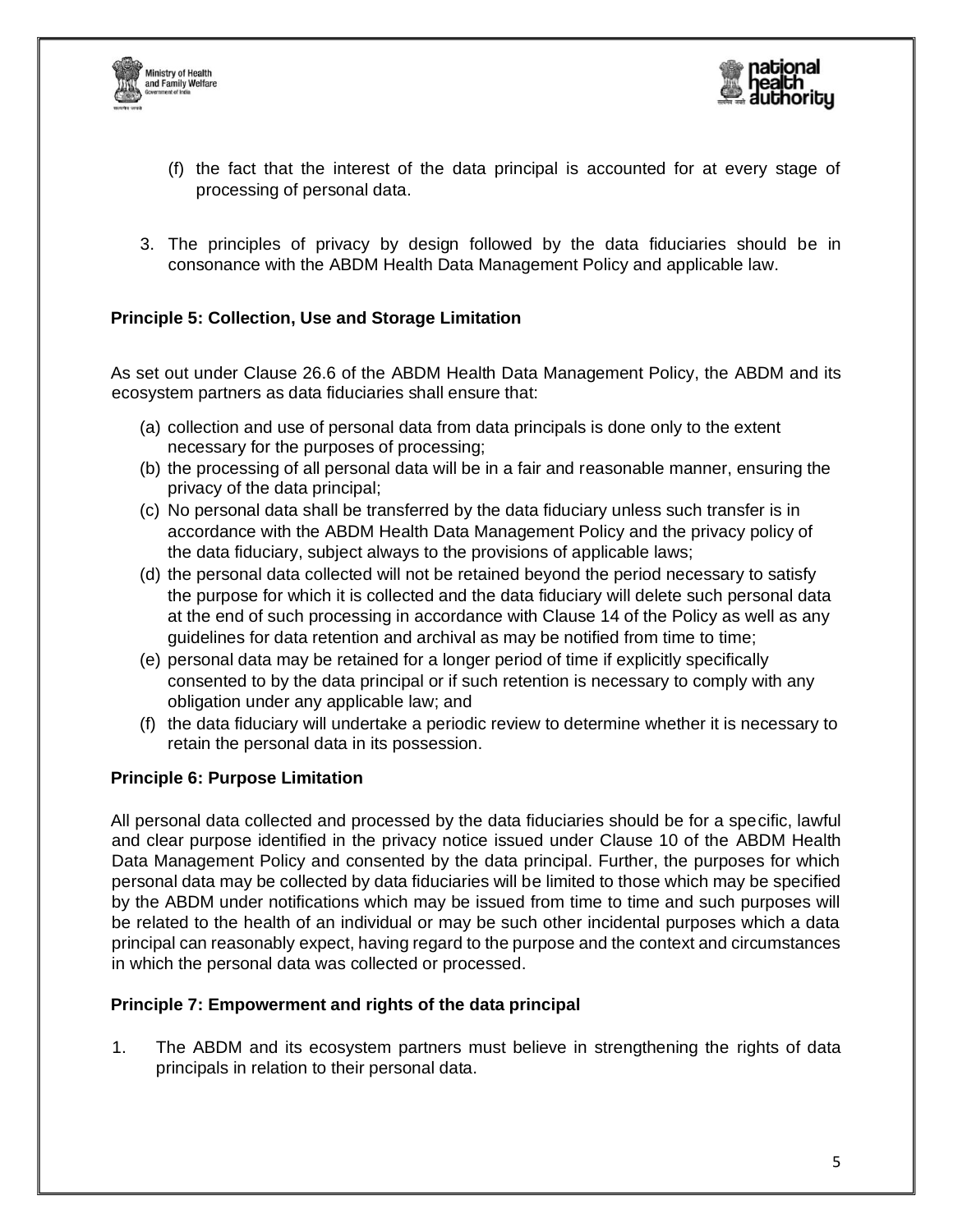



- (f) the fact that the interest of the data principal is accounted for at every stage of processing of personal data.
- 3. The principles of privacy by design followed by the data fiduciaries should be in consonance with the ABDM Health Data Management Policy and applicable law.

## **Principle 5: Collection, Use and Storage Limitation**

As set out under Clause 26.6 of the ABDM Health Data Management Policy, the ABDM and its ecosystem partners as data fiduciaries shall ensure that:

- (a) collection and use of personal data from data principals is done only to the extent necessary for the purposes of processing;
- (b) the processing of all personal data will be in a fair and reasonable manner, ensuring the privacy of the data principal;
- (c) No personal data shall be transferred by the data fiduciary unless such transfer is in accordance with the ABDM Health Data Management Policy and the privacy policy of the data fiduciary, subject always to the provisions of applicable laws;
- (d) the personal data collected will not be retained beyond the period necessary to satisfy the purpose for which it is collected and the data fiduciary will delete such personal data at the end of such processing in accordance with Clause 14 of the Policy as well as any guidelines for data retention and archival as may be notified from time to time;
- (e) personal data may be retained for a longer period of time if explicitly specifically consented to by the data principal or if such retention is necessary to comply with any obligation under any applicable law; and
- (f) the data fiduciary will undertake a periodic review to determine whether it is necessary to retain the personal data in its possession.

## **Principle 6: Purpose Limitation**

All personal data collected and processed by the data fiduciaries should be for a specific, lawful and clear purpose identified in the privacy notice issued under Clause 10 of the ABDM Health Data Management Policy and consented by the data principal. Further, the purposes for which personal data may be collected by data fiduciaries will be limited to those which may be specified by the ABDM under notifications which may be issued from time to time and such purposes will be related to the health of an individual or may be such other incidental purposes which a data principal can reasonably expect, having regard to the purpose and the context and circumstances in which the personal data was collected or processed.

## **Principle 7: Empowerment and rights of the data principal**

1. The ABDM and its ecosystem partners must believe in strengthening the rights of data principals in relation to their personal data.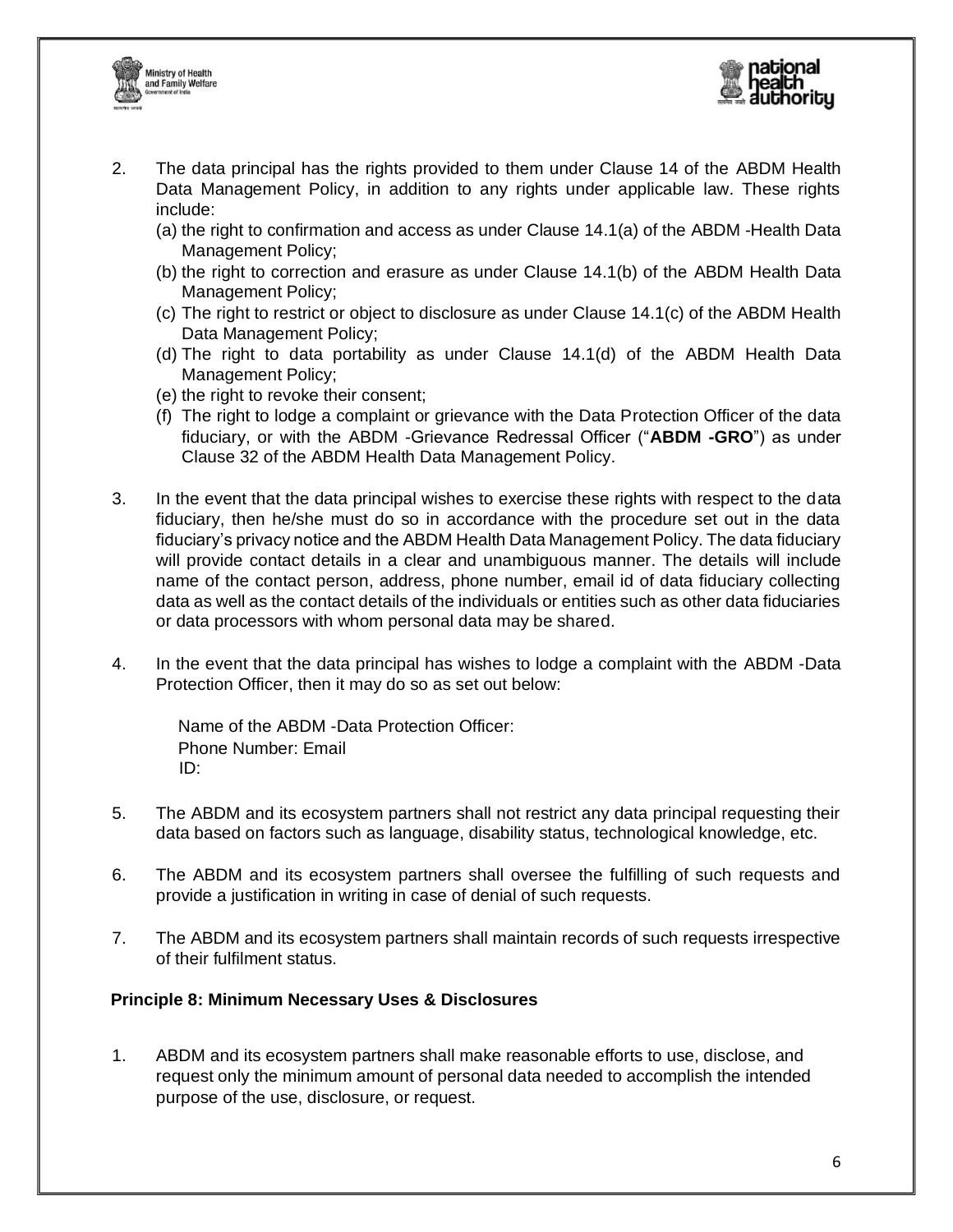



- 2. The data principal has the rights provided to them under Clause 14 of the ABDM Health Data Management Policy, in addition to any rights under applicable law. These rights include:
	- (a) the right to confirmation and access as under Clause 14.1(a) of the ABDM -Health Data Management Policy;
	- (b) the right to correction and erasure as under Clause 14.1(b) of the ABDM Health Data Management Policy;
	- (c) The right to restrict or object to disclosure as under Clause 14.1(c) of the ABDM Health Data Management Policy;
	- (d) The right to data portability as under Clause 14.1(d) of the ABDM Health Data Management Policy;
	- (e) the right to revoke their consent;
	- (f) The right to lodge a complaint or grievance with the Data Protection Officer of the data fiduciary, or with the ABDM -Grievance Redressal Officer ("**ABDM -GRO**") as under Clause 32 of the ABDM Health Data Management Policy.
- 3. In the event that the data principal wishes to exercise these rights with respect to the data fiduciary, then he/she must do so in accordance with the procedure set out in the data fiduciary's privacy notice and the ABDM Health Data Management Policy. The data fiduciary will provide contact details in a clear and unambiguous manner. The details will include name of the contact person, address, phone number, email id of data fiduciary collecting data as well as the contact details of the individuals or entities such as other data fiduciaries or data processors with whom personal data may be shared.
- 4. In the event that the data principal has wishes to lodge a complaint with the ABDM -Data Protection Officer, then it may do so as set out below:

Name of the ABDM -Data Protection Officer: Phone Number: Email ID:

- 5. The ABDM and its ecosystem partners shall not restrict any data principal requesting their data based on factors such as language, disability status, technological knowledge, etc.
- 6. The ABDM and its ecosystem partners shall oversee the fulfilling of such requests and provide a justification in writing in case of denial of such requests.
- 7. The ABDM and its ecosystem partners shall maintain records of such requests irrespective of their fulfilment status.

## **Principle 8: Minimum Necessary Uses & Disclosures**

1. ABDM and its ecosystem partners shall make reasonable efforts to use, disclose, and request only the minimum amount of personal data needed to accomplish the intended purpose of the use, disclosure, or request.